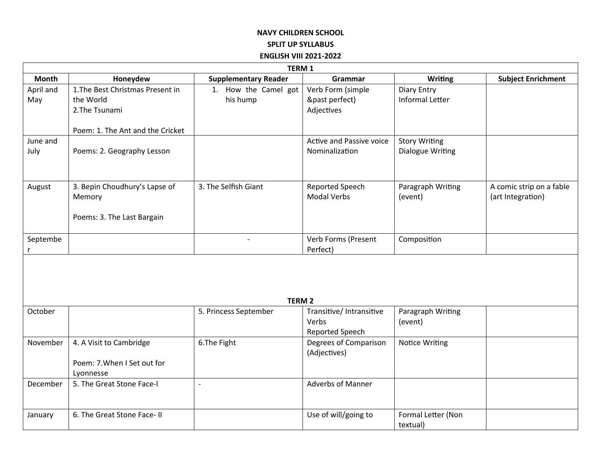## **NAVY CHILDREN SCHOOL SPLIT UP SYLLABUS ENGLISH VIII 2021-2022**

| <b>TERM 1</b> |                                        |                             |                          |                         |                           |  |  |
|---------------|----------------------------------------|-----------------------------|--------------------------|-------------------------|---------------------------|--|--|
| <b>Month</b>  | Honeydew                               | <b>Supplementary Reader</b> | Grammar                  | <b>Writing</b>          | <b>Subject Enrichment</b> |  |  |
| April and     | 1. The Best Christmas Present in       | 1. How the Camel got        | Verb Form (simple        | Diary Entry             |                           |  |  |
| May           | the World                              | his hump                    | &past perfect)           | <b>Informal Letter</b>  |                           |  |  |
|               | 2. The Tsunami                         |                             | Adjectives               |                         |                           |  |  |
|               | Poem: 1. The Ant and the Cricket       |                             |                          |                         |                           |  |  |
| June and      |                                        |                             | Active and Passive voice | <b>Story Writing</b>    |                           |  |  |
| July          | Poems: 2. Geography Lesson             |                             | Nominalization           | <b>Dialogue Writing</b> |                           |  |  |
|               |                                        |                             |                          |                         |                           |  |  |
|               |                                        |                             |                          |                         |                           |  |  |
| August        | 3. Bepin Choudhury's Lapse of          | 3. The Selfish Giant        | Reported Speech          | Paragraph Writing       | A comic strip on a fable  |  |  |
|               | Memory                                 |                             | <b>Modal Verbs</b>       | (event)                 | (art Integration)         |  |  |
|               | Poems: 3. The Last Bargain             |                             |                          |                         |                           |  |  |
|               |                                        |                             |                          |                         |                           |  |  |
| Septembe      |                                        | $\overline{\phantom{0}}$    | Verb Forms (Present      | Composition             |                           |  |  |
| r             |                                        |                             | Perfect)                 |                         |                           |  |  |
|               |                                        |                             |                          |                         |                           |  |  |
|               |                                        |                             |                          |                         |                           |  |  |
|               |                                        |                             |                          |                         |                           |  |  |
| <b>TERM 2</b> |                                        |                             |                          |                         |                           |  |  |
| October       |                                        | 5. Princess September       | Transitive/ Intransitive | Paragraph Writing       |                           |  |  |
|               |                                        |                             | Verbs                    | (event)                 |                           |  |  |
|               |                                        |                             | Reported Speech          |                         |                           |  |  |
| November      | 4. A Visit to Cambridge                | 6.The Fight                 | Degrees of Comparison    | <b>Notice Writing</b>   |                           |  |  |
|               |                                        |                             | (Adjectives)             |                         |                           |  |  |
|               | Poem: 7. When I Set out for            |                             |                          |                         |                           |  |  |
| December      | Lyonnesse<br>5. The Great Stone Face-I | $\overline{a}$              | <b>Adverbs of Manner</b> |                         |                           |  |  |
|               |                                        |                             |                          |                         |                           |  |  |
|               |                                        |                             |                          |                         |                           |  |  |
| January       | 6. The Great Stone Face- II            |                             | Use of will/going to     | Formal Letter (Non      |                           |  |  |
|               |                                        |                             |                          | textual)                |                           |  |  |